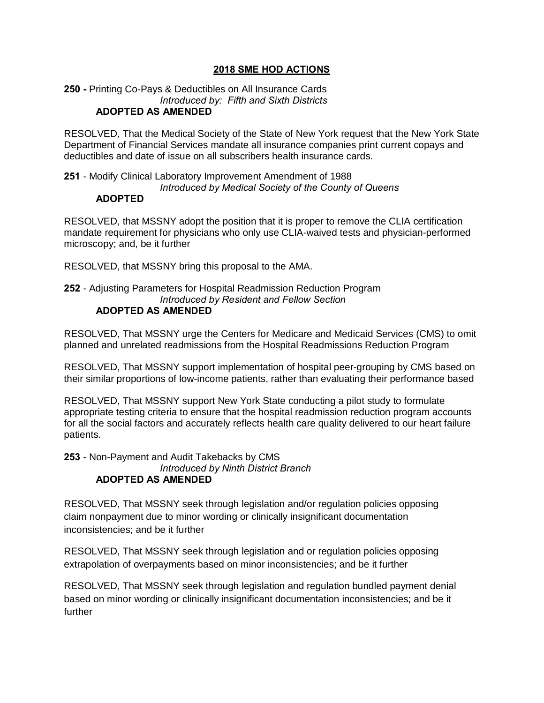### **2018 SME HOD ACTIONS**

#### **250 -** Printing Co-Pays & Deductibles on All Insurance Cards *Introduced by: Fifth and Sixth Districts* **ADOPTED AS AMENDED**

RESOLVED, That the Medical Society of the State of New York request that the New York State Department of Financial Services mandate all insurance companies print current copays and deductibles and date of issue on all subscribers health insurance cards.

**251** - Modify Clinical Laboratory Improvement Amendment of 1988 *Introduced by Medical Society of the County of Queens*

# **ADOPTED**

RESOLVED, that MSSNY adopt the position that it is proper to remove the CLIA certification mandate requirement for physicians who only use CLIA-waived tests and physician-performed microscopy; and, be it further

RESOLVED, that MSSNY bring this proposal to the AMA.

### **252** - Adjusting Parameters for Hospital Readmission Reduction Program *Introduced by Resident and Fellow Section* **ADOPTED AS AMENDED**

RESOLVED, That MSSNY urge the Centers for Medicare and Medicaid Services (CMS) to omit planned and unrelated readmissions from the Hospital Readmissions Reduction Program

RESOLVED, That MSSNY support implementation of hospital peer-grouping by CMS based on their similar proportions of low-income patients, rather than evaluating their performance based

RESOLVED, That MSSNY support New York State conducting a pilot study to formulate appropriate testing criteria to ensure that the hospital readmission reduction program accounts for all the social factors and accurately reflects health care quality delivered to our heart failure patients.

**253** - Non-Payment and Audit Takebacks by CMS *Introduced by Ninth District Branch* **ADOPTED AS AMENDED**

RESOLVED, That MSSNY seek through legislation and/or regulation policies opposing claim nonpayment due to minor wording or clinically insignificant documentation inconsistencies; and be it further

RESOLVED, That MSSNY seek through legislation and or regulation policies opposing extrapolation of overpayments based on minor inconsistencies; and be it further

RESOLVED, That MSSNY seek through legislation and regulation bundled payment denial based on minor wording or clinically insignificant documentation inconsistencies; and be it further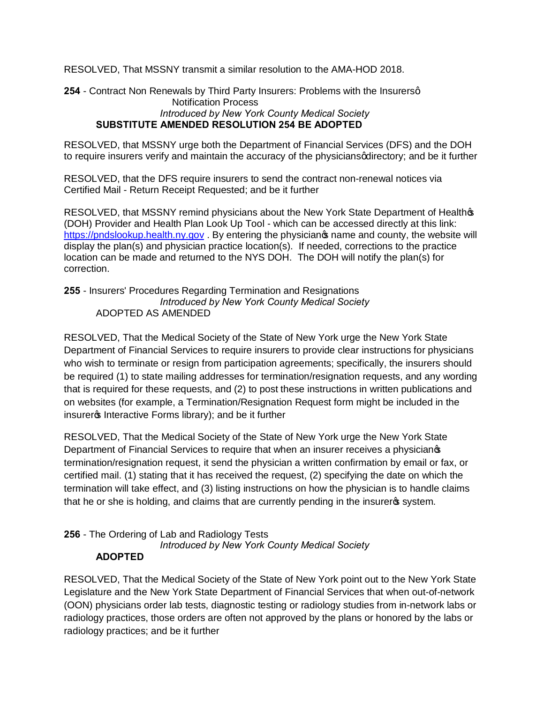RESOLVED, That MSSNY transmit a similar resolution to the AMA-HOD 2018.

**254** - Contract Non Renewals by Third Party Insurers: Problems with the Insurersq Notification Process *Introduced by New York County Medical Society* **SUBSTITUTE AMENDED RESOLUTION 254 BE ADOPTED**

RESOLVED, that MSSNY urge both the Department of Financial Services (DFS) and the DOH to require insurers verify and maintain the accuracy of the physicians qdirectory; and be it further

RESOLVED, that the DFS require insurers to send the contract non-renewal notices via Certified Mail - Return Receipt Requested; and be it further

RESOLVED, that MSSNY remind physicians about the New York State Department of Healthos (DOH) Provider and Health Plan Look Up Tool - which can be accessed directly at this link: [https://pndslookup.health.ny.gov](https://pndslookup.health.ny.gov/) . By entering the physicianos name and county, the website will display the plan(s) and physician practice location(s). If needed, corrections to the practice location can be made and returned to the NYS DOH. The DOH will notify the plan(s) for correction.

### **255** - Insurers' Procedures Regarding Termination and Resignations *Introduced by New York County Medical Society* ADOPTED AS AMENDED

RESOLVED, That the Medical Society of the State of New York urge the New York State Department of Financial Services to require insurers to provide clear instructions for physicians who wish to terminate or resign from participation agreements; specifically, the insurers should be required (1) to state mailing addresses for termination/resignation requests, and any wording that is required for these requests, and (2) to post these instructions in written publications and on websites (for example, a Termination/Resignation Request form might be included in the insurer<sub>®</sub> Interactive Forms library); and be it further

RESOLVED, That the Medical Society of the State of New York urge the New York State Department of Financial Services to require that when an insurer receives a physician<sup>®</sup> termination/resignation request, it send the physician a written confirmation by email or fax, or certified mail. (1) stating that it has received the request, (2) specifying the date on which the termination will take effect, and (3) listing instructions on how the physician is to handle claims that he or she is holding, and claims that are currently pending in the insurergs system.

**256** - The Ordering of Lab and Radiology Tests *Introduced by New York County Medical Society*

# **ADOPTED**

RESOLVED, That the Medical Society of the State of New York point out to the New York State Legislature and the New York State Department of Financial Services that when out-of-network (OON) physicians order lab tests, diagnostic testing or radiology studies from in-network labs or radiology practices, those orders are often not approved by the plans or honored by the labs or radiology practices; and be it further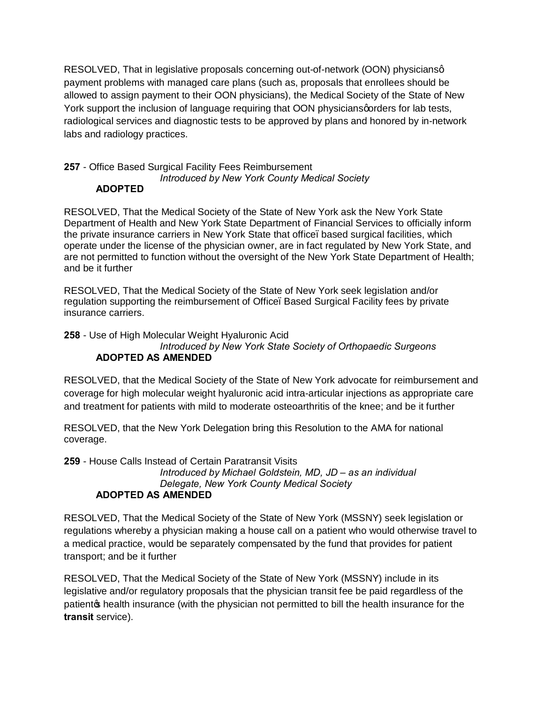RESOLVED, That in legislative proposals concerning out-of-network (OON) physiciansg payment problems with managed care plans (such as, proposals that enrollees should be allowed to assign payment to their OON physicians), the Medical Society of the State of New York support the inclusion of language requiring that OON physicians porders for lab tests, radiological services and diagnostic tests to be approved by plans and honored by in-network labs and radiology practices.

#### **257** - Office Based Surgical Facility Fees Reimbursement *Introduced by New York County Medical Society* **ADOPTED**

RESOLVED, That the Medical Society of the State of New York ask the New York State Department of Health and New York State Department of Financial Services to officially inform the private insurance carriers in New York State that office–based surgical facilities, which operate under the license of the physician owner, are in fact regulated by New York State, and are not permitted to function without the oversight of the New York State Department of Health; and be it further

RESOLVED, That the Medical Society of the State of New York seek legislation and/or regulation supporting the reimbursement of Office. Based Surgical Facility fees by private insurance carriers.

**258** - Use of High Molecular Weight Hyaluronic Acid

### *Introduced by New York State Society of Orthopaedic Surgeons* **ADOPTED AS AMENDED**

RESOLVED, that the Medical Society of the State of New York advocate for reimbursement and coverage for high molecular weight hyaluronic acid intra-articular injections as appropriate care and treatment for patients with mild to moderate osteoarthritis of the knee; and be it further

RESOLVED, that the New York Delegation bring this Resolution to the AMA for national coverage.

**259** - House Calls Instead of Certain Paratransit Visits

*Introduced by Michael Goldstein, MD, JD – as an individual Delegate, New York County Medical Society* **ADOPTED AS AMENDED**

RESOLVED, That the Medical Society of the State of New York (MSSNY) seek legislation or regulations whereby a physician making a house call on a patient who would otherwise travel to a medical practice, would be separately compensated by the fund that provides for patient transport; and be it further

RESOLVED, That the Medical Society of the State of New York (MSSNY) include in its legislative and/or regulatory proposals that the physician transit fee be paid regardless of the patient the health insurance (with the physician not permitted to bill the health insurance for the **transit** service).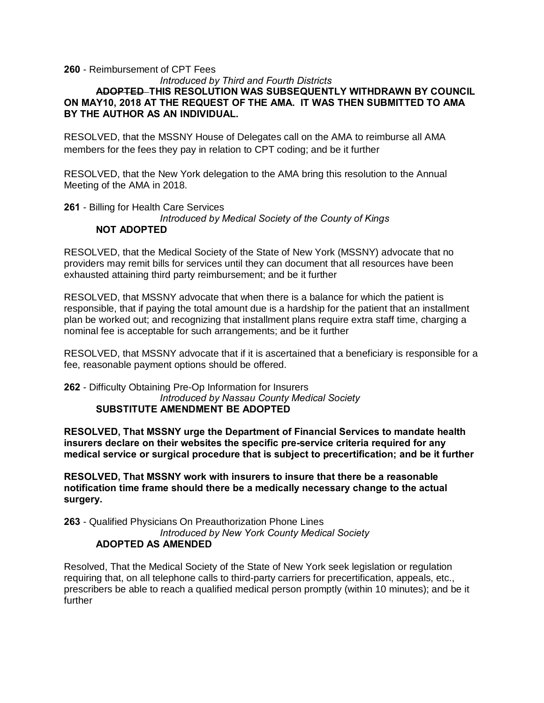#### **260** - Reimbursement of CPT Fees

### *Introduced by Third and Fourth Districts* **ADOPTED THIS RESOLUTION WAS SUBSEQUENTLY WITHDRAWN BY COUNCIL ON MAY10, 2018 AT THE REQUEST OF THE AMA. IT WAS THEN SUBMITTED TO AMA BY THE AUTHOR AS AN INDIVIDUAL.**

RESOLVED, that the MSSNY House of Delegates call on the AMA to reimburse all AMA members for the fees they pay in relation to CPT coding; and be it further

RESOLVED, that the New York delegation to the AMA bring this resolution to the Annual Meeting of the AMA in 2018.

**261** - Billing for Health Care Services

*Introduced by Medical Society of the County of Kings* **NOT ADOPTED**

RESOLVED, that the Medical Society of the State of New York (MSSNY) advocate that no providers may remit bills for services until they can document that all resources have been exhausted attaining third party reimbursement; and be it further

RESOLVED, that MSSNY advocate that when there is a balance for which the patient is responsible, that if paying the total amount due is a hardship for the patient that an installment plan be worked out; and recognizing that installment plans require extra staff time, charging a nominal fee is acceptable for such arrangements; and be it further

RESOLVED, that MSSNY advocate that if it is ascertained that a beneficiary is responsible for a fee, reasonable payment options should be offered.

**262** - Difficulty Obtaining Pre-Op Information for Insurers *Introduced by Nassau County Medical Society* **SUBSTITUTE AMENDMENT BE ADOPTED**

**RESOLVED, That MSSNY urge the Department of Financial Services to mandate health insurers declare on their websites the specific pre-service criteria required for any medical service or surgical procedure that is subject to precertification; and be it further**

**RESOLVED, That MSSNY work with insurers to insure that there be a reasonable notification time frame should there be a medically necessary change to the actual surgery.**

**263** - Qualified Physicians On Preauthorization Phone Lines *Introduced by New York County Medical Society* **ADOPTED AS AMENDED**

Resolved, That the Medical Society of the State of New York seek legislation or regulation requiring that, on all telephone calls to third-party carriers for precertification, appeals, etc., prescribers be able to reach a qualified medical person promptly (within 10 minutes); and be it further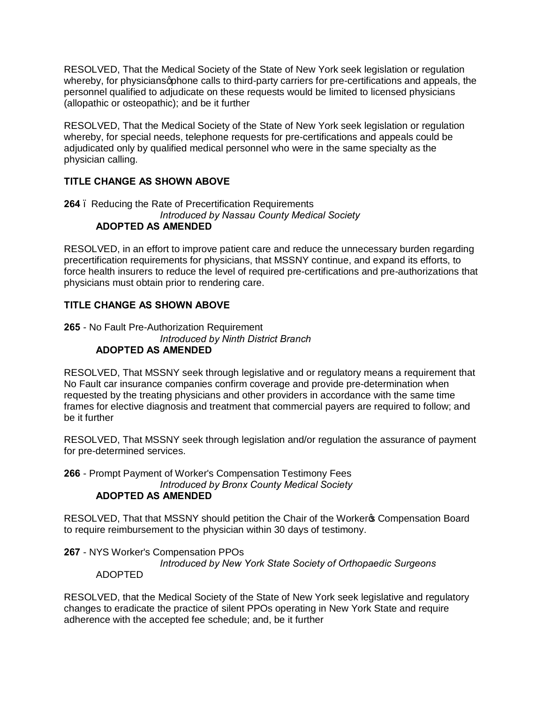RESOLVED, That the Medical Society of the State of New York seek legislation or regulation whereby, for physicians apphone calls to third-party carriers for pre-certifications and appeals, the personnel qualified to adjudicate on these requests would be limited to licensed physicians (allopathic or osteopathic); and be it further

RESOLVED, That the Medical Society of the State of New York seek legislation or regulation whereby, for special needs, telephone requests for pre-certifications and appeals could be adjudicated only by qualified medical personnel who were in the same specialty as the physician calling.

# **TITLE CHANGE AS SHOWN ABOVE**

#### **264** – Reducing the Rate of Precertification Requirements *Introduced by Nassau County Medical Society* **ADOPTED AS AMENDED**

RESOLVED, in an effort to improve patient care and reduce the unnecessary burden regarding precertification requirements for physicians, that MSSNY continue, and expand its efforts, to force health insurers to reduce the level of required pre-certifications and pre-authorizations that physicians must obtain prior to rendering care.

# **TITLE CHANGE AS SHOWN ABOVE**

### **265** - No Fault Pre-Authorization Requirement *Introduced by Ninth District Branch* **ADOPTED AS AMENDED**

RESOLVED, That MSSNY seek through legislative and or regulatory means a requirement that No Fault car insurance companies confirm coverage and provide pre-determination when requested by the treating physicians and other providers in accordance with the same time frames for elective diagnosis and treatment that commercial payers are required to follow; and be it further

RESOLVED, That MSSNY seek through legislation and/or regulation the assurance of payment for pre-determined services.

**266** - Prompt Payment of Worker's Compensation Testimony Fees *Introduced by Bronx County Medical Society*

### **ADOPTED AS AMENDED**

RESOLVED, That that MSSNY should petition the Chair of the Worker & Compensation Board to require reimbursement to the physician within 30 days of testimony.

**267** - NYS Worker's Compensation PPOs

*Introduced by New York State Society of Orthopaedic Surgeons*

### ADOPTED

RESOLVED, that the Medical Society of the State of New York seek legislative and regulatory changes to eradicate the practice of silent PPOs operating in New York State and require adherence with the accepted fee schedule; and, be it further